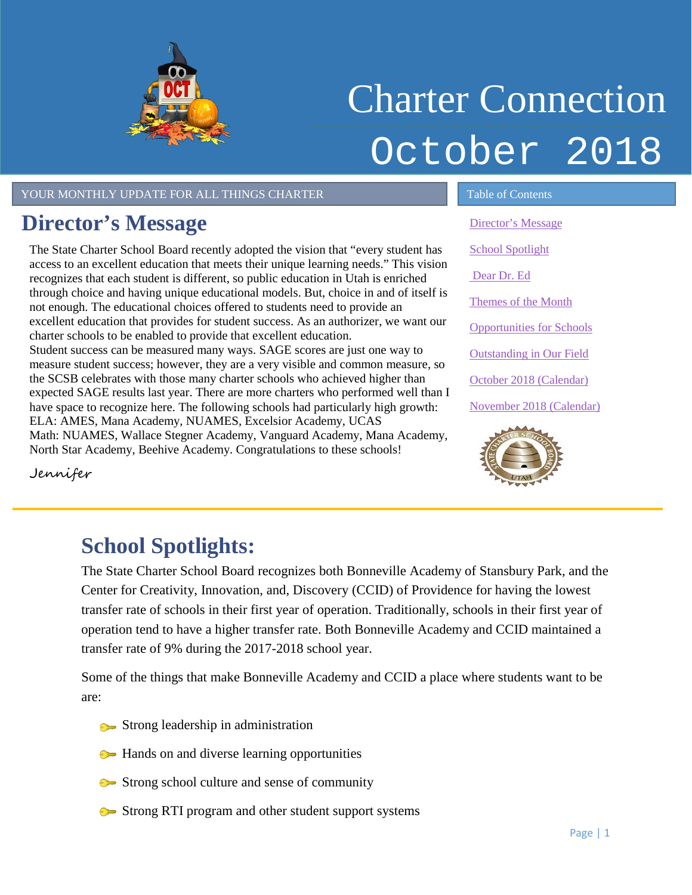

# Charter Connection October 2018

#### YOUR MONTHLY UPDATE FOR ALL THINGS CHARTER TABLE 1 Table of Contents

## <span id="page-0-0"></span>**Director's Message**

The State Charter School Board recently adopted the vision that "every student has access to an excellent education that meets their unique learning needs." This vision recognizes that each student is different, so public education in Utah is enriched through choice and having unique educational models. But, choice in and of itself is not enough. The educational choices offered to students need to provide an excellent education that provides for student success. As an authorizer, we want our charter schools to be enabled to provide that excellent education. Student success can be measured many ways. SAGE scores are just one way to measure student success; however, they are a very visible and common measure, so the SCSB celebrates with those many charter schools who achieved higher than expected SAGE results last year. There are more charters who performed well than I have space to recognize here. The following schools had particularly high growth: ELA: AMES, Mana Academy, NUAMES, Excelsior Academy, UCAS Math: NUAMES, Wallace Stegner Academy, Vanguard Academy, Mana Academy, North Star Academy, Beehive Academy. Congratulations to these schools!

[Director's Message](#page-0-0) [School Spotlight](#page-0-1) [Dear Dr. Ed](#page-1-0) [Themes of the Month](#page-1-1) [Opportunities for Schools](#page-2-0)  [Outstanding in Our Field](#page-2-1) October [2018 \(Calendar\)](#page-3-0) November [2018 \(Calendar\)](#page-3-1)



Jennifer

## <span id="page-0-1"></span>**School Spotlights:**

The State Charter School Board recognizes both Bonneville Academy of Stansbury Park, and the Center for Creativity, Innovation, and, Discovery (CCID) of Providence for having the lowest transfer rate of schools in their first year of operation. Traditionally, schools in their first year of operation tend to have a higher transfer rate. Both Bonneville Academy and CCID maintained a transfer rate of 9% during the 2017-2018 school year.

Some of the things that make Bonneville Academy and CCID a place where students want to be are:

- **Strong leadership in administration**
- Hands on and diverse learning opportunities
- Strong school culture and sense of community
- Strong RTI program and other student support systems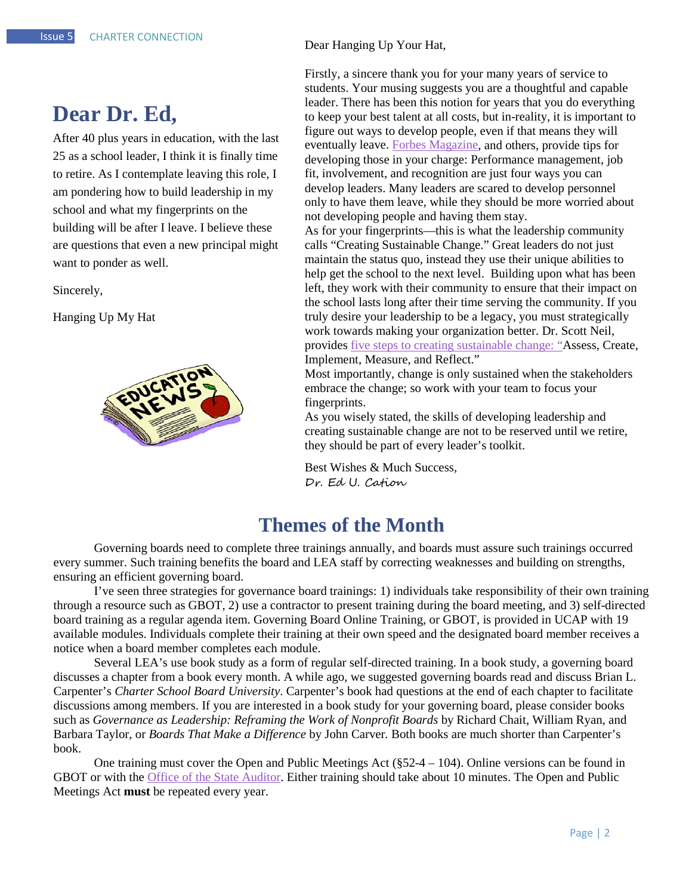### <span id="page-1-0"></span>**Dear Dr. Ed,**

After 40 plus years in education, with the last 25 as a school leader, I think it is finally time to retire. As I contemplate leaving this role, I am pondering how to build leadership in my school and what my fingerprints on the building will be after I leave. I believe these are questions that even a new principal might want to ponder as well.

Sincerely,

Hanging Up My Hat



Dear Hanging Up Your Hat,

Firstly, a sincere thank you for your many years of service to students. Your musing suggests you are a thoughtful and capable leader. There has been this notion for years that you do everything to keep your best talent at all costs, but in-reality, it is important to figure out ways to develop people, even if that means they will eventually leave. [Forbes Magazine,](https://www.forbes.com/sites/joefolkman/2016/11/10/the-4-vital-keys-to-developing-others/) and others, provide tips for developing those in your charge: Performance management, job fit, involvement, and recognition are just four ways you can develop leaders. Many leaders are scared to develop personnel only to have them leave, while they should be more worried about not developing people and having them stay.

As for your fingerprints—this is what the leadership community calls "Creating Sustainable Change." Great leaders do not just maintain the status quo, instead they use their unique abilities to help get the school to the next level. Building upon what has been left, they work with their community to ensure that their impact on the school lasts long after their time serving the community. If you truly desire your leadership to be a legacy, you must strategically work towards making your organization better. Dr. Scott Neil, provides five [steps to creating sustainable change:](https://www.linkedin.com/pulse/five-steps-create-sustainable-change-scott-neil-phd/) "Assess, Create, Implement, Measure, and Reflect."

Most importantly, change is only sustained when the stakeholders embrace the change; so work with your team to focus your fingerprints.

As you wisely stated, the skills of developing leadership and creating sustainable change are not to be reserved until we retire, they should be part of every leader's toolkit.

Best Wishes & Much Success, Dr. Ed U. Cation

#### **Themes of the Month**

<span id="page-1-1"></span>Governing boards need to complete three trainings annually, and boards must assure such trainings occurred every summer. Such training benefits the board and LEA staff by correcting weaknesses and building on strengths, ensuring an efficient governing board.

I've seen three strategies for governance board trainings: 1) individuals take responsibility of their own training through a resource such as GBOT, 2) use a contractor to present training during the board meeting, and 3) self-directed board training as a regular agenda item. Governing Board Online Training, or GBOT, is provided in UCAP with 19 available modules. Individuals complete their training at their own speed and the designated board member receives a notice when a board member completes each module.

Several LEA's use book study as a form of regular self-directed training. In a book study, a governing board discusses a chapter from a book every month. A while ago, we suggested governing boards read and discuss Brian L. Carpenter's *Charter School Board University*. Carpenter's book had questions at the end of each chapter to facilitate discussions among members. If you are interested in a book study for your governing board, please consider books such as *Governance as Leadership: Reframing the Work of Nonprofit Boards* by Richard Chait, William Ryan, and Barbara Taylor, or *Boards That Make a Difference* by John Carver*.* Both books are much shorter than Carpenter's book.

One training must cover the Open and Public Meetings Act (§52-4 – 104). Online versions can be found in GBOT or with the [Office of the State Auditor.](http://training.auditor.utah.gov/courses/opma-2018) Either training should take about 10 minutes. The Open and Public Meetings Act **must** be repeated every year.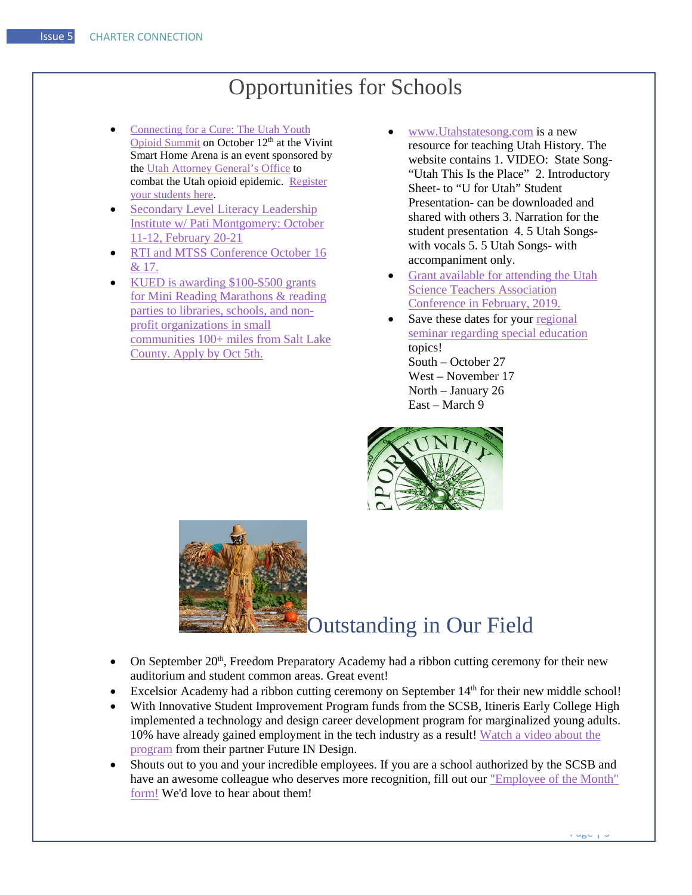## Opportunities for Schools

- <span id="page-2-0"></span>• [Connecting for a Cure: The Utah Youth](https://drive.google.com/open?id=1pGGRVen9KuGcoPlhuHX03-zphm2wTS55)  [Opioid Summit](https://drive.google.com/open?id=1pGGRVen9KuGcoPlhuHX03-zphm2wTS55) on October 12<sup>th</sup> at the Vivint Smart Home Arena is an event sponsored by the [Utah Attorney General's Office](https://drive.google.com/open?id=1MSEx9Q61O5J2p19afQXBmU5YFk2cKGzf) to combat the Utah opioid epidemic. [Register](http://utahsolutionssummit.com/schools/)  [your students here.](http://utahsolutionssummit.com/schools/)
- Secondary Level Literacy Leadership [Institute w/ Pati Montgomery: October](https://docs.google.com/forms/d/e/1FAIpQLSdHbMpo9oSeX1ZP-q3iUd8XtCqpJBxSuAE3kY005d4q9353-g/viewform)  [11-12, February 20-21](https://docs.google.com/forms/d/e/1FAIpQLSdHbMpo9oSeX1ZP-q3iUd8XtCqpJBxSuAE3kY005d4q9353-g/viewform)
- RTI and MTSS Conference October 16 [& 17.](https://drive.google.com/open?id=1xtMOLf2QNHgPqdhm85Pjdnkm1JIgsIZH)
- [KUED is awarding \\$100-\\$500 grants](https://www.kued.org/kids/super-reader-mini-grant)  [for Mini Reading Marathons & reading](https://www.kued.org/kids/super-reader-mini-grant)  [parties to libraries, schools, and non](https://www.kued.org/kids/super-reader-mini-grant)[profit organizations in small](https://www.kued.org/kids/super-reader-mini-grant)  [communities 100+ miles from Salt Lake](https://www.kued.org/kids/super-reader-mini-grant)  [County. Apply by Oct 5th.](https://www.kued.org/kids/super-reader-mini-grant)
- [www.Utahstatesong.com](http://www.utahstatesong.com/) is a new resource for teaching Utah History. The website contains 1. VIDEO: State Song- "Utah This Is the Place" 2. Introductory Sheet- to "U for Utah" Student Presentation- can be downloaded and shared with others 3. Narration for the student presentation 4. 5 Utah Songswith vocals 5. 5 Utah Songs- with accompaniment only.
- [Grant available for attending the Utah](https://drive.google.com/file/d/1S61gyKANln6Nl_5BHwg9VYu5e5FvUmJX/view?usp=sharing)  [Science Teachers Association](https://drive.google.com/file/d/1S61gyKANln6Nl_5BHwg9VYu5e5FvUmJX/view?usp=sharing)  [Conference in February, 2019.](https://drive.google.com/file/d/1S61gyKANln6Nl_5BHwg9VYu5e5FvUmJX/view?usp=sharing)
- Save these dates for your regional [seminar regarding special education](https://drive.google.com/file/d/1JEg657aeIGbM-BDTb7Z427Iprf1shI54/view?usp=sharing) topics! South – October 27 West – November 17 North – January 26 East – March 9



<span id="page-2-1"></span>

## Outstanding in Our Field

- On September 20<sup>th</sup>, Freedom Preparatory Academy had a ribbon cutting ceremony for their new auditorium and student common areas. Great event!
- Excelsior Academy had a ribbon cutting ceremony on September 14<sup>th</sup> for their new middle school!
- With Innovative Student Improvement Program funds from the SCSB, Itineris Early College High implemented a technology and design career development program for marginalized young adults. 10% have already gained employment in the tech industry as a result! [Watch a video about the](https://www.youtube.com/watch?v=8hBFZHaNQgc&feature=youtu.be)  [program](https://www.youtube.com/watch?v=8hBFZHaNQgc&feature=youtu.be) from their partner Future IN Design.
- Shouts out to you and your incredible employees. If you are a school authorized by the SCSB and have an awesome colleague who deserves more recognition, fill out ou[r "Employee of the Month"](https://docs.google.com/forms/d/e/1FAIpQLSdCs8ICTgo8UzwV7nFe0HiogaRQhfHtxc9YpqXcNvC1nuT56g/viewform)  [form!](https://docs.google.com/forms/d/e/1FAIpQLSdCs8ICTgo8UzwV7nFe0HiogaRQhfHtxc9YpqXcNvC1nuT56g/viewform) We'd love to hear about them!